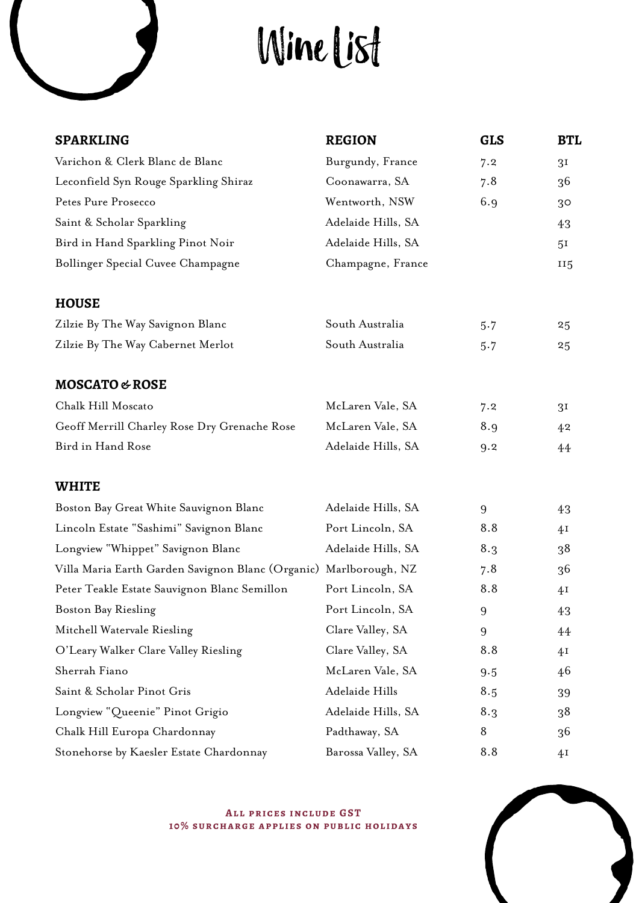# Wine List

| <b>SPARKLING</b>                                                  | <b>REGION</b>      | <b>GLS</b> | <b>BTL</b>     |
|-------------------------------------------------------------------|--------------------|------------|----------------|
| Varichon & Clerk Blanc de Blanc                                   | Burgundy, France   | 7.2        | 3 <sub>I</sub> |
| Leconfield Syn Rouge Sparkling Shiraz                             | Coonawarra, SA     | 7.8        | 36             |
| Petes Pure Prosecco                                               | Wentworth, NSW     | 6.9        | 3 <sup>o</sup> |
| Saint & Scholar Sparkling                                         | Adelaide Hills, SA |            | 43             |
| Bird in Hand Sparkling Pinot Noir                                 | Adelaide Hills, SA |            | 5 <sup>I</sup> |
| Bollinger Special Cuvee Champagne                                 | Champagne, France  |            | <b>115</b>     |
| <b>HOUSE</b>                                                      |                    |            |                |
| Zilzie By The Way Savignon Blanc                                  | South Australia    | 5.7        | 25             |
| Zilzie By The Way Cabernet Merlot                                 | South Australia    | 5.7        | 25             |
| MOSCATO & ROSE                                                    |                    |            |                |
| Chalk Hill Moscato                                                | McLaren Vale, SA   | 7.2        | 3 <sup>I</sup> |
| Geoff Merrill Charley Rose Dry Grenache Rose                      | McLaren Vale, SA   | 8.9        | 42             |
| Bird in Hand Rose                                                 | Adelaide Hills, SA | 9.2        | 44             |
| <b>WHITE</b>                                                      |                    |            |                |
| Boston Bay Great White Sauvignon Blanc                            | Adelaide Hills, SA | 9          | 43             |
| Lincoln Estate "Sashimi" Savignon Blanc                           | Port Lincoln, SA   | 8.8        | 4I             |
| Longview "Whippet" Savignon Blanc                                 | Adelaide Hills, SA | 8.3        | 38             |
| Villa Maria Earth Garden Savignon Blanc (Organic) Marlborough, NZ |                    | 7.8        | 36             |
| Peter Teakle Estate Sauvignon Blanc Semillon                      | Port Lincoln, SA   | 8.8        | 41             |
| <b>Boston Bay Riesling</b>                                        | Port Lincoln, SA   | 9          | 43             |
| Mitchell Watervale Riesling                                       | Clare Valley, SA   | 9          | 44             |
| O'Leary Walker Clare Valley Riesling                              | Clare Valley, SA   | 8.8        | 4 <sub>I</sub> |
| Sherrah Fiano                                                     | McLaren Vale, SA   | 9.5        | 46             |
| Saint & Scholar Pinot Gris                                        | Adelaide Hills     | 8.5        | 39             |
| Longview "Queenie" Pinot Grigio                                   | Adelaide Hills, SA | 8.3        | 38             |
| Chalk Hill Europa Chardonnay                                      | Padthaway, SA      | 8          | 36             |
| Stonehorse by Kaesler Estate Chardonnay                           | Barossa Valley, SA | 8.8        | 4Ι             |

**ALL PRICES INCLUDE GST 10% surcharge applies on public holidays**

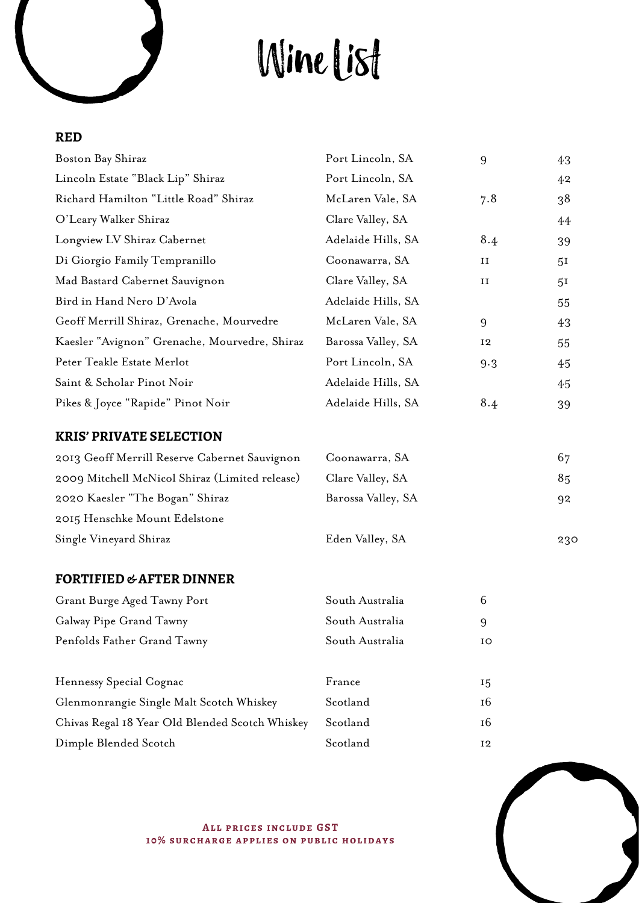# Wine List

## **RED**

| Boston Bay Shiraz                               | Port Lincoln, SA   | 9   | 43             |
|-------------------------------------------------|--------------------|-----|----------------|
| Lincoln Estate "Black Lip" Shiraz               | Port Lincoln, SA   |     | 42             |
| Richard Hamilton "Little Road" Shiraz           | McLaren Vale, SA   | 7.8 | 38             |
| O'Leary Walker Shiraz                           | Clare Valley, SA   |     | 44             |
| Longview LV Shiraz Cabernet                     | Adelaide Hills, SA | 8.4 | 39             |
| Di Giorgio Family Tempranillo                   | Coonawarra, SA     | и   | 5 <sup>I</sup> |
| Mad Bastard Cabernet Sauvignon                  | Clare Valley, SA   | и   | 5 <sup>I</sup> |
| Bird in Hand Nero D'Avola                       | Adelaide Hills, SA |     | 55             |
| Geoff Merrill Shiraz, Grenache, Mourvedre       | McLaren Vale, SA   | 9   | 43             |
| Kaesler "Avignon" Grenache, Mourvedre, Shiraz   | Barossa Valley, SA | 12  | 55             |
| Peter Teakle Estate Merlot                      | Port Lincoln, SA   | 9.3 | 45             |
| Saint & Scholar Pinot Noir                      | Adelaide Hills, SA |     | 45             |
| Pikes & Joyce "Rapide" Pinot Noir               | Adelaide Hills, SA | 8.4 | 39             |
| <b>KRIS' PRIVATE SELECTION</b>                  |                    |     |                |
| 2013 Geoff Merrill Reserve Cabernet Sauvignon   | Coonawarra, SA     |     | 67             |
| 2009 Mitchell McNicol Shiraz (Limited release)  | Clare Valley, SA   |     | 85             |
| 2020 Kaesler "The Bogan" Shiraz                 | Barossa Valley, SA |     | 92             |
| 2015 Henschke Mount Edelstone                   |                    |     |                |
| Single Vineyard Shiraz                          | Eden Valley, SA    |     | 230            |
| <b>FORTIFIED &amp; AFTER DINNER</b>             |                    |     |                |
| Grant Burge Aged Tawny Port                     | South Australia    | 6   |                |
| Galway Pipe Grand Tawny                         | South Australia    | 9   |                |
| Penfolds Father Grand Tawny                     | South Australia    | ΙO  |                |
| Hennessy Special Cognac                         | France             | 15  |                |
| Glenmonrangie Single Malt Scotch Whiskey        | Scotland           | 16  |                |
| Chivas Regal 18 Year Old Blended Scotch Whiskey | Scotland           | 16  |                |



**ALL PRICES INCLUDE GST 10% surcharge applies on public holidays**

Dimple Blended Scotch Scotland 12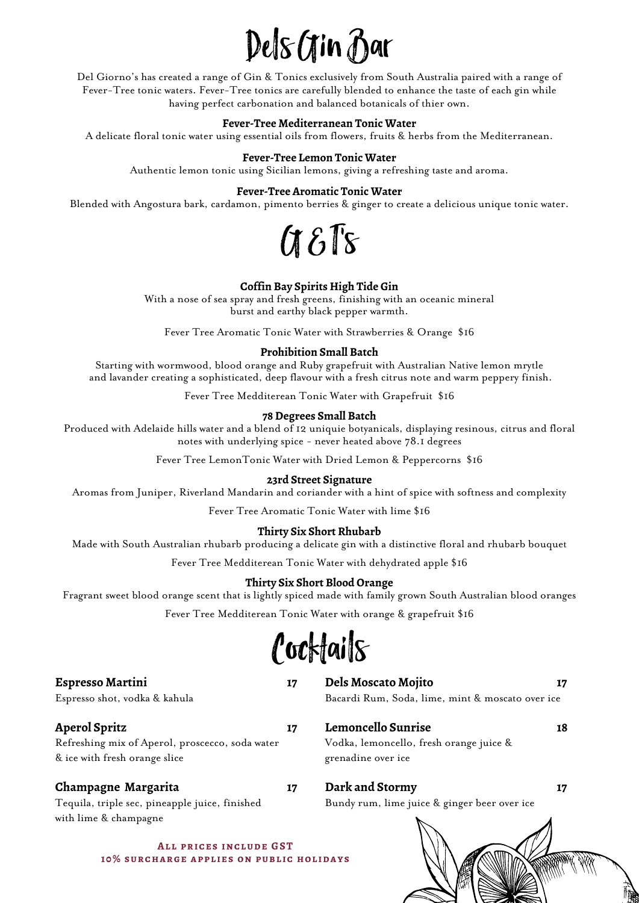## Dels Gin Bar

Del Giorno's has created a range of Gin & Tonics exclusively from South Australia paired with a range of Fever-Tree tonic waters. Fever-Tree tonics are carefully blended to enhance the taste of each gin while having perfect carbonation and balanced botanicals of thier own.

#### **Fever-Tree Mediterranean Tonic Water**

A delicate floral tonic water using essential oils from flowers, fruits & herbs from the Mediterranean.

#### **Fever-Tree Lemon Tonic Water**

Authentic lemon tonic using Sicilian lemons, giving a refreshing taste and aroma.

#### **Fever-Tree Aromatic Tonic Water**

Blended with Angostura bark, cardamon, pimento berries & ginger to create a delicious unique tonic water.



#### **Coffin Bay Spirits High Tide Gin**

With a nose of sea spray and fresh greens, finishing with an oceanic mineral burst and earthy black pepper warmth.

Fever Tree Aromatic Tonic Water with Strawberries & Orange \$16

#### **Prohibition Small Batch**

Starting with wormwood, blood orange and Ruby grapefruit with Australian Native lemon mrytle and lavander creating a sophisticated, deep flavour with a fresh citrus note and warm peppery finish.

Fever Tree Medditerean Tonic Water with Grapefruit \$16

#### **78 Degrees Small Batch**

Produced with Adelaide hills water and a blend of 12 uniquie botyanicals, displaying resinous, citrus and floral notes with underlying spice - never heated above 78.1 degrees

Fever Tree LemonTonic Water with Dried Lemon & Peppercorns \$16

#### **23rd Street Signature**

Aromas from Juniper, Riverland Mandarin and coriander with a hint of spice with softness and complexity

Fever Tree Aromatic Tonic Water with lime \$16

#### **Thirty Six Short Rhubarb**

Made with South Australian rhubarb producing a delicate gin with a distinctive floral and rhubarb bouquet

Fever Tree Medditerean Tonic Water with dehydrated apple \$16

#### **Thirty Six Short Blood Orange**

Fragrant sweet blood orange scent that is lightly spiced made with family grown South Australian blood oranges

Fever Tree Medditerean Tonic Water with orange & grapefruit \$16

*Cocktails* 

#### **Espresso Martini 17**

Espresso shot, vodka & kahula

#### **Aperol Spritz 17**

Refreshing mix of Aperol, proscecco, soda water & ice with fresh orange slice

Tequila, triple sec, pineapple juice, finished

#### **Champagne Margarita 17**

**Dark and Stormy 17**  Bundy rum, lime juice & ginger beer over ice

Vodka, lemoncello, fresh orange juice &

grenadine over ice

**Dels Moscato Mojito 17** Bacardi Rum, Soda, lime, mint & moscato over ice

**Lemoncello Sunrise 18**

with lime & champagne

**ALL PRICES INCLUDE GST 10% surcharge applies on public holidays**